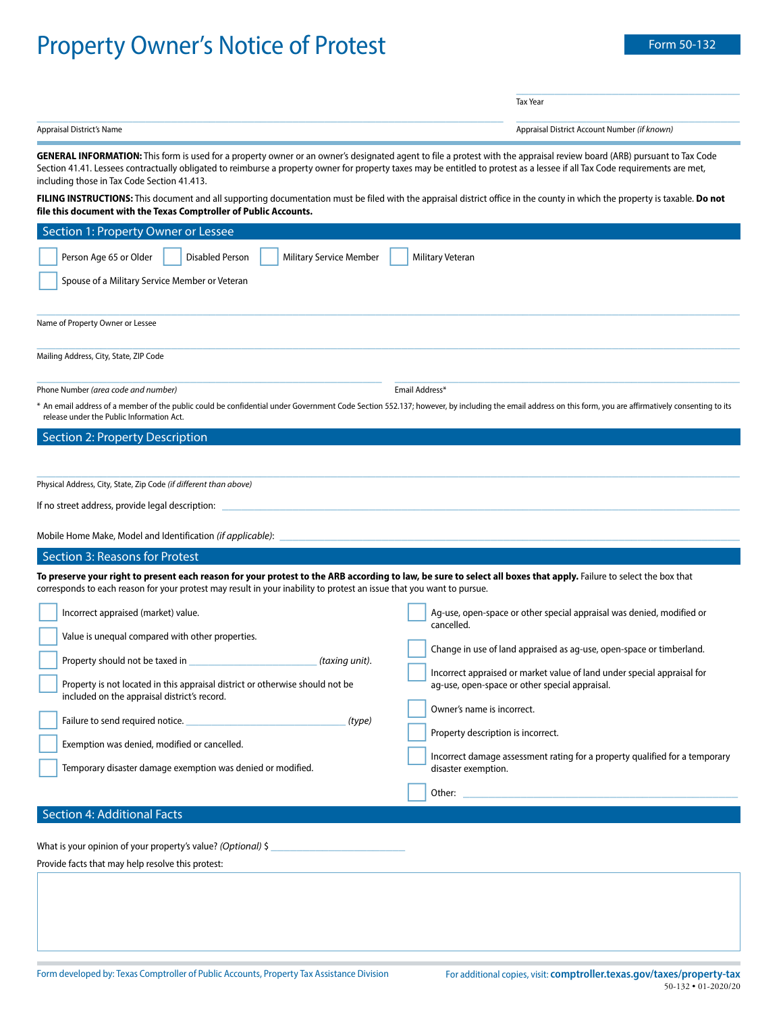## Property Owner's Notice of Protest Form 50-132

\_\_\_\_\_\_\_\_\_\_\_\_\_\_\_\_\_\_\_\_\_\_\_\_\_\_\_\_\_\_\_\_\_\_\_

Tax Year

Appraisal District's Name Appraisal District Account Number *(if known)*

 $\_$  , and the set of the set of the set of the set of the set of the set of the set of the set of the set of the set of the set of the set of the set of the set of the set of the set of the set of the set of the set of th

**GENERAL INFORMATION:** This form is used for a property owner or an owner's designated agent to file a protest with the appraisal review board (ARB) pursuant to Tax Code Section 41.41. Lessees contractually obligated to reimburse a property owner for property taxes may be entitled to protest as a lessee if all Tax Code requirements are met, including those in Tax Code Section 41.413.

**FILING INSTRUCTIONS:** This document and all supporting documentation must be filed with the appraisal district office in the county in which the property is taxable. **Do not file this document with the Texas Comptroller of Public Accounts.**

| Section 1: Property Owner or Lessee                                                                                                                                                                                                                                                         |                                                                                                                                                                                                                                        |
|---------------------------------------------------------------------------------------------------------------------------------------------------------------------------------------------------------------------------------------------------------------------------------------------|----------------------------------------------------------------------------------------------------------------------------------------------------------------------------------------------------------------------------------------|
| Person Age 65 or Older<br><b>Disabled Person</b><br>Military Service Member<br>Spouse of a Military Service Member or Veteran                                                                                                                                                               | Military Veteran                                                                                                                                                                                                                       |
| Name of Property Owner or Lessee                                                                                                                                                                                                                                                            |                                                                                                                                                                                                                                        |
| Mailing Address, City, State, ZIP Code                                                                                                                                                                                                                                                      |                                                                                                                                                                                                                                        |
| Phone Number (area code and number)<br>An email address of a member of the public could be confidential under Government Code Section 552.137; however, by including the email address on this form, you are affirmatively consenting to its<br>release under the Public Information Act.   | Email Address*                                                                                                                                                                                                                         |
| Section 2: Property Description                                                                                                                                                                                                                                                             |                                                                                                                                                                                                                                        |
| Physical Address, City, State, Zip Code (if different than above)                                                                                                                                                                                                                           |                                                                                                                                                                                                                                        |
| If no street address, provide legal description:                                                                                                                                                                                                                                            |                                                                                                                                                                                                                                        |
| Mobile Home Make, Model and Identification (if applicable):                                                                                                                                                                                                                                 |                                                                                                                                                                                                                                        |
| Section 3: Reasons for Protest                                                                                                                                                                                                                                                              |                                                                                                                                                                                                                                        |
| To preserve your right to present each reason for your protest to the ARB according to law, be sure to select all boxes that apply. Failure to select the box that<br>corresponds to each reason for your protest may result in your inability to protest an issue that you want to pursue. |                                                                                                                                                                                                                                        |
| Incorrect appraised (market) value.<br>Value is unequal compared with other properties.<br>Property should not be taxed in<br>(taxing unit).                                                                                                                                                | Ag-use, open-space or other special appraisal was denied, modified or<br>cancelled.<br>Change in use of land appraised as ag-use, open-space or timberland.<br>Incorrect appraised or market value of land under special appraisal for |
| Property is not located in this appraisal district or otherwise should not be<br>included on the appraisal district's record.<br>Failure to send required notice.<br>(type)<br>Exemption was denied, modified or cancelled.                                                                 | ag-use, open-space or other special appraisal.<br>Owner's name is incorrect.<br>Property description is incorrect.                                                                                                                     |
| Temporary disaster damage exemption was denied or modified.                                                                                                                                                                                                                                 | Incorrect damage assessment rating for a property qualified for a temporary<br>disaster exemption.<br>Other:                                                                                                                           |
| <b>Section 4: Additional Facts</b>                                                                                                                                                                                                                                                          |                                                                                                                                                                                                                                        |

What is your opinion of your property's value? *(Optional)* \$

Provide facts that may help resolve this protest: